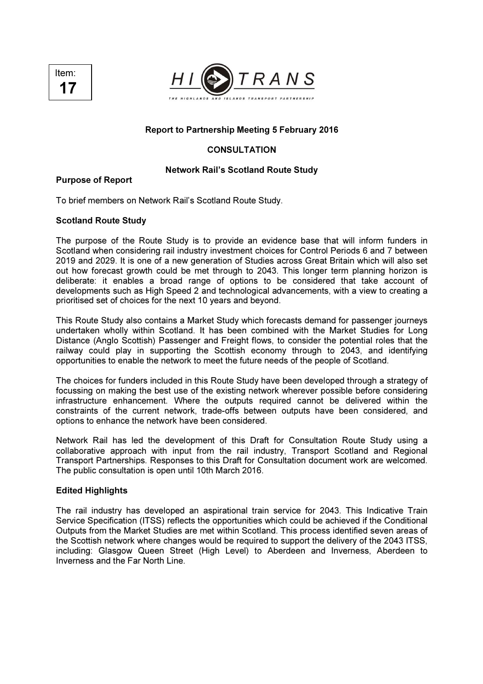



### Report to Partnership Meeting 5 February 2016

## **CONSULTATION**

### Network Rail's Scotland Route Study

#### Purpose of Report

To brief members on Network Rail's Scotland Route Study.

#### Scotland Route Study

The purpose of the Route Study is to provide an evidence base that will inform funders in Scotland when considering rail industry investment choices for Control Periods 6 and 7 between 2019 and 2029. It is one of a new generation of Studies across Great Britain which will also set out how forecast growth could be met through to 2043. This longer term planning horizon is deliberate: it enables a broad range of options to be considered that take account of developments such as High Speed 2 and technological advancements, with a view to creating a prioritised set of choices for the next 10 years and beyond.

This Route Study also contains a Market Study which forecasts demand for passenger journeys undertaken wholly within Scotland. It has been combined with the Market Studies for Long Distance (Anglo Scottish) Passenger and Freight flows, to consider the potential roles that the railway could play in supporting the Scottish economy through to 2043, and identifying opportunities to enable the network to meet the future needs of the people of Scotland.

The choices for funders included in this Route Study have been developed through a strategy of focussing on making the best use of the existing network wherever possible before considering infrastructure enhancement. Where the outputs required cannot be delivered within the constraints of the current network, trade-offs between outputs have been considered, and options to enhance the network have been considered.

Network Rail has led the development of this Draft for Consultation Route Study using a collaborative approach with input from the rail industry, Transport Scotland and Regional Transport Partnerships. Responses to this Draft for Consultation document work are welcomed. The public consultation is open until 10th March 2016.

### Edited Highlights

The rail industry has developed an aspirational train service for 2043. This Indicative Train Service Specification (ITSS) reflects the opportunities which could be achieved if the Conditional Outputs from the Market Studies are met within Scotland. This process identified seven areas of the Scottish network where changes would be required to support the delivery of the 2043 ITSS, including: Glasgow Queen Street (High Level) to Aberdeen and Inverness, Aberdeen to Inverness and the Far North Line.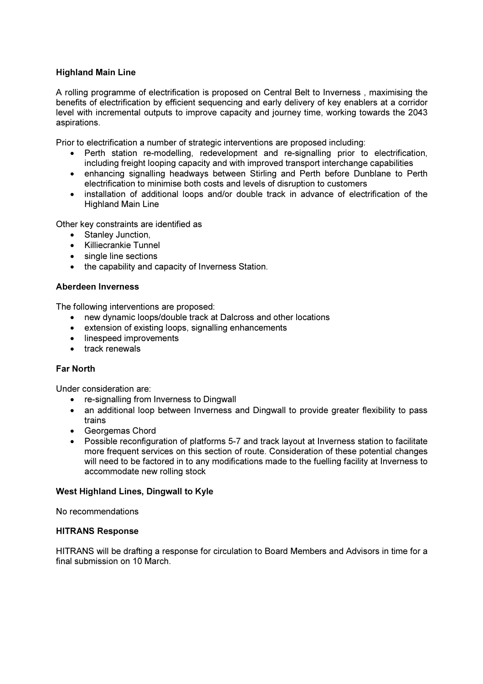## Highland Main Line

A rolling programme of electrification is proposed on Central Belt to Inverness , maximising the benefits of electrification by efficient sequencing and early delivery of key enablers at a corridor level with incremental outputs to improve capacity and journey time, working towards the 2043 aspirations.

Prior to electrification a number of strategic interventions are proposed including:

- Perth station re-modelling, redevelopment and re-signalling prior to electrification, including freight looping capacity and with improved transport interchange capabilities
- enhancing signalling headways between Stirling and Perth before Dunblane to Perth electrification to minimise both costs and levels of disruption to customers
- installation of additional loops and/or double track in advance of electrification of the Highland Main Line

Other key constraints are identified as

- Stanley Junction,
- Killiecrankie Tunnel
- single line sections
- the capability and capacity of Inverness Station.

### Aberdeen Inverness

The following interventions are proposed:

- new dynamic loops/double track at Dalcross and other locations
- extension of existing loops, signalling enhancements
- linespeed improvements
- track renewals

### Far North

Under consideration are:

- re-signalling from Inverness to Dingwall
- an additional loop between Inverness and Dingwall to provide greater flexibility to pass trains
- Georgemas Chord
- Possible reconfiguration of platforms 5-7 and track layout at Inverness station to facilitate more frequent services on this section of route. Consideration of these potential changes will need to be factored in to any modifications made to the fuelling facility at Inverness to accommodate new rolling stock

### West Highland Lines, Dingwall to Kyle

No recommendations

### HITRANS Response

HITRANS will be drafting a response for circulation to Board Members and Advisors in time for a final submission on 10 March.